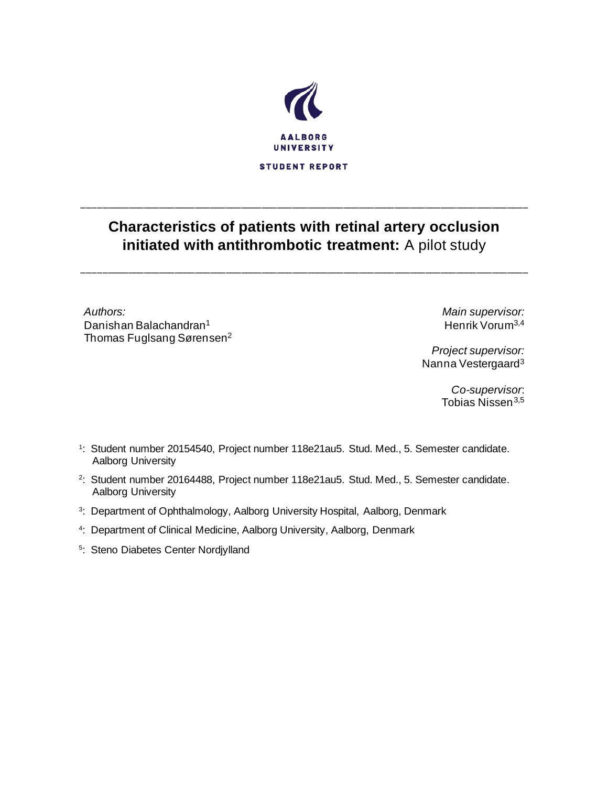

# **Characteristics of patients with retinal artery occlusion initiated with antithrombotic treatment:** A pilot study

\_\_\_\_\_\_\_\_\_\_\_\_\_\_\_\_\_\_\_\_\_\_\_\_\_\_\_\_\_\_\_\_\_\_\_\_\_\_\_\_\_\_\_\_\_\_\_\_\_\_\_\_\_\_\_\_\_\_\_\_\_\_\_\_\_\_\_\_\_\_\_\_\_\_\_\_\_\_\_\_\_\_\_\_\_\_\_

\_\_\_\_\_\_\_\_\_\_\_\_\_\_\_\_\_\_\_\_\_\_\_\_\_\_\_\_\_\_\_\_\_\_\_\_\_\_\_\_\_\_\_\_\_\_\_\_\_\_\_\_\_\_\_\_\_\_\_\_\_\_\_\_\_\_\_\_\_\_\_\_\_\_\_\_\_\_\_\_\_\_\_\_\_\_\_

*Authors:* Danishan Balachandran<sup>1</sup> Thomas Fuglsang Sørensen<sup>2</sup> *Main supervisor:* Henrik Vorum3,4

*Project supervisor:* Nanna Vestergaard<sup>3</sup>

> *Co-supervisor*: Tobias Nissen<sup>3,5</sup>

- 1 : Student number 20154540, Project number 118e21au5. Stud. Med., 5. Semester candidate. Aalborg University
- 2 : Student number 20164488, Project number 118e21au5. Stud. Med., 5. Semester candidate. Aalborg University
- <sup>3</sup>: Department of Ophthalmology, Aalborg University Hospital, Aalborg, Denmark
- 4 : Department of Clinical Medicine, Aalborg University, Aalborg, Denmark
- 5 : Steno Diabetes Center Nordjylland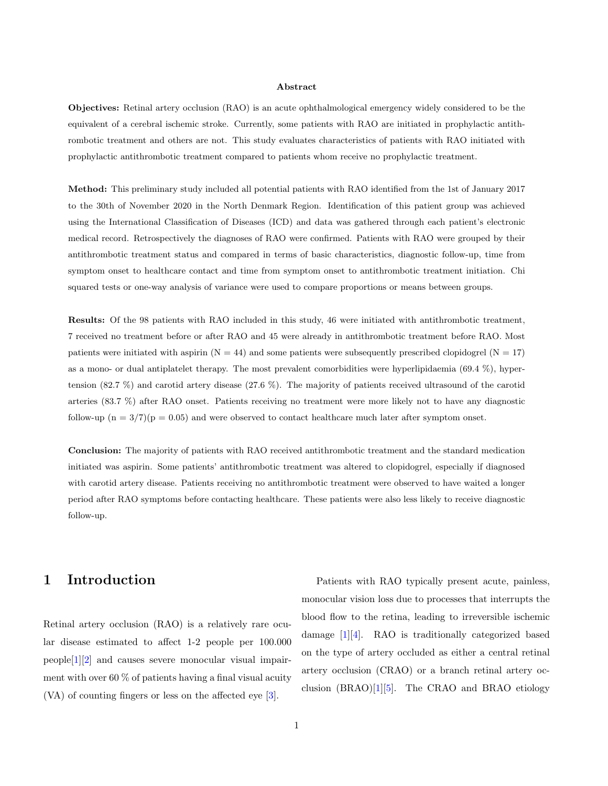#### Abstract

Objectives: Retinal artery occlusion (RAO) is an acute ophthalmological emergency widely considered to be the equivalent of a cerebral ischemic stroke. Currently, some patients with RAO are initiated in prophylactic antithrombotic treatment and others are not. This study evaluates characteristics of patients with RAO initiated with prophylactic antithrombotic treatment compared to patients whom receive no prophylactic treatment.

Method: This preliminary study included all potential patients with RAO identified from the 1st of January 2017 to the 30th of November 2020 in the North Denmark Region. Identification of this patient group was achieved using the International Classification of Diseases (ICD) and data was gathered through each patient's electronic medical record. Retrospectively the diagnoses of RAO were confirmed. Patients with RAO were grouped by their antithrombotic treatment status and compared in terms of basic characteristics, diagnostic follow-up, time from symptom onset to healthcare contact and time from symptom onset to antithrombotic treatment initiation. Chi squared tests or one-way analysis of variance were used to compare proportions or means between groups.

Results: Of the 98 patients with RAO included in this study, 46 were initiated with antithrombotic treatment, 7 received no treatment before or after RAO and 45 were already in antithrombotic treatment before RAO. Most patients were initiated with aspirin  $(N = 44)$  and some patients were subsequently prescribed clopidogrel  $(N = 17)$ as a mono- or dual antiplatelet therapy. The most prevalent comorbidities were hyperlipidaemia (69.4 %), hypertension (82.7 %) and carotid artery disease (27.6 %). The majority of patients received ultrasound of the carotid arteries (83.7 %) after RAO onset. Patients receiving no treatment were more likely not to have any diagnostic follow-up ( $n = 3/7$ )( $p = 0.05$ ) and were observed to contact healthcare much later after symptom onset.

Conclusion: The majority of patients with RAO received antithrombotic treatment and the standard medication initiated was aspirin. Some patients' antithrombotic treatment was altered to clopidogrel, especially if diagnosed with carotid artery disease. Patients receiving no antithrombotic treatment were observed to have waited a longer period after RAO symptoms before contacting healthcare. These patients were also less likely to receive diagnostic follow-up.

# 1 Introduction

Retinal artery occlusion (RAO) is a relatively rare ocular disease estimated to affect 1-2 people per 100.000 people[\[1\]](#page-11-0)[\[2\]](#page-11-1) and causes severe monocular visual impairment with over 60  $\%$  of patients having a final visual acuity (VA) of counting fingers or less on the affected eye [\[3\]](#page-11-2).

Patients with RAO typically present acute, painless, monocular vision loss due to processes that interrupts the blood flow to the retina, leading to irreversible ischemic damage [\[1\]](#page-11-0)[\[4\]](#page-11-3). RAO is traditionally categorized based on the type of artery occluded as either a central retinal artery occlusion (CRAO) or a branch retinal artery occlusion (BRAO)[\[1\]](#page-11-0)[\[5\]](#page-11-4). The CRAO and BRAO etiology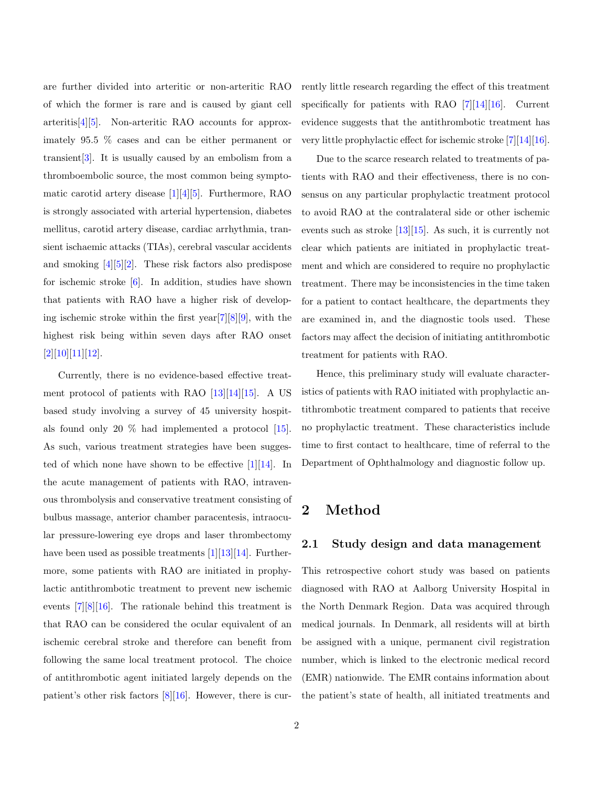are further divided into arteritic or non-arteritic RAO of which the former is rare and is caused by giant cell arteritis[\[4\]](#page-11-3)[\[5\]](#page-11-4). Non-arteritic RAO accounts for approximately 95.5 % cases and can be either permanent or transient  $[3]$ . It is usually caused by an embolism from a thromboembolic source, the most common being symptomatic carotid artery disease [\[1\]](#page-11-0)[\[4\]](#page-11-3)[\[5\]](#page-11-4). Furthermore, RAO is strongly associated with arterial hypertension, diabetes mellitus, carotid artery disease, cardiac arrhythmia, transient ischaemic attacks (TIAs), cerebral vascular accidents and smoking [\[4\]](#page-11-3)[\[5\]](#page-11-4)[\[2\]](#page-11-1). These risk factors also predispose for ischemic stroke  $[6]$ . In addition, studies have shown that patients with RAO have a higher risk of developing ischemic stroke within the first year[\[7\]](#page-11-6)[\[8\]](#page-11-7)[\[9\]](#page-11-8), with the highest risk being within seven days after RAO onset [\[2\]](#page-11-1)[\[10\]](#page-11-9)[\[11\]](#page-11-10)[\[12\]](#page-11-11).

Currently, there is no evidence-based effective treatment protocol of patients with RAO [\[13\]](#page-11-12)[\[14\]](#page-11-13)[\[15\]](#page-12-0). A US based study involving a survey of 45 university hospitals found only 20 % had implemented a protocol [\[15\]](#page-12-0). As such, various treatment strategies have been suggested of which none have shown to be effective [\[1\]](#page-11-0)[\[14\]](#page-11-13). In the acute management of patients with RAO, intravenous thrombolysis and conservative treatment consisting of bulbus massage, anterior chamber paracentesis, intraocular pressure-lowering eye drops and laser thrombectomy have been used as possible treatments  $[1][13][14]$  $[1][13][14]$  $[1][13][14]$ . Furthermore, some patients with RAO are initiated in prophylactic antithrombotic treatment to prevent new ischemic events [\[7\]](#page-11-6)[\[8\]](#page-11-7)[\[16\]](#page-12-1). The rationale behind this treatment is that RAO can be considered the ocular equivalent of an ischemic cerebral stroke and therefore can benefit from following the same local treatment protocol. The choice of antithrombotic agent initiated largely depends on the patient's other risk factors  $[8][16]$  $[8][16]$ . However, there is currently little research regarding the effect of this treatment specifically for patients with RAO  $[7][14][16]$  $[7][14][16]$  $[7][14][16]$ . Current evidence suggests that the antithrombotic treatment has very little prophylactic effect for ischemic stroke [\[7\]](#page-11-6)[\[14\]](#page-11-13)[\[16\]](#page-12-1).

Due to the scarce research related to treatments of patients with RAO and their effectiveness, there is no consensus on any particular prophylactic treatment protocol to avoid RAO at the contralateral side or other ischemic events such as stroke [\[13\]](#page-11-12)[\[15\]](#page-12-0). As such, it is currently not clear which patients are initiated in prophylactic treatment and which are considered to require no prophylactic treatment. There may be inconsistencies in the time taken for a patient to contact healthcare, the departments they are examined in, and the diagnostic tools used. These factors may affect the decision of initiating antithrombotic treatment for patients with RAO.

Hence, this preliminary study will evaluate characteristics of patients with RAO initiated with prophylactic antithrombotic treatment compared to patients that receive no prophylactic treatment. These characteristics include time to first contact to healthcare, time of referral to the Department of Ophthalmology and diagnostic follow up.

## 2 Method

### 2.1 Study design and data management

This retrospective cohort study was based on patients diagnosed with RAO at Aalborg University Hospital in the North Denmark Region. Data was acquired through medical journals. In Denmark, all residents will at birth be assigned with a unique, permanent civil registration number, which is linked to the electronic medical record (EMR) nationwide. The EMR contains information about the patient's state of health, all initiated treatments and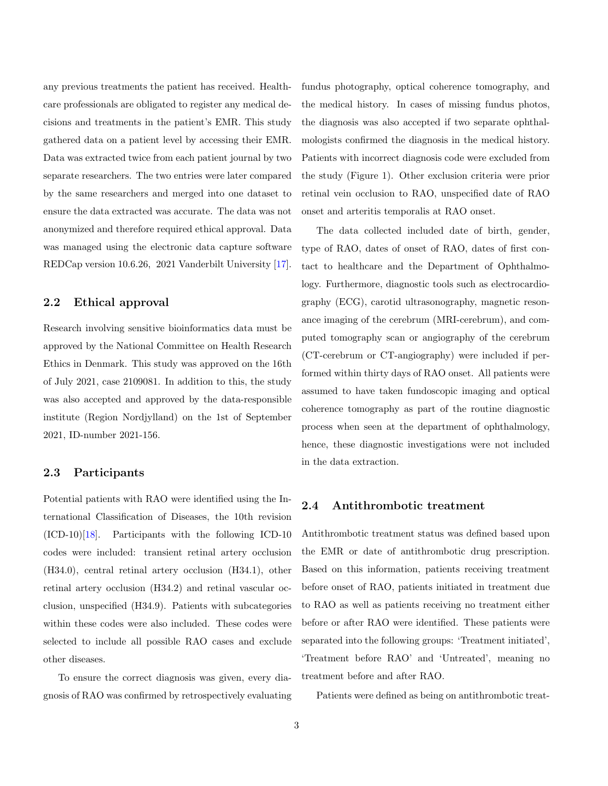any previous treatments the patient has received. Healthcare professionals are obligated to register any medical decisions and treatments in the patient's EMR. This study gathered data on a patient level by accessing their EMR. Data was extracted twice from each patient journal by two separate researchers. The two entries were later compared by the same researchers and merged into one dataset to ensure the data extracted was accurate. The data was not anonymized and therefore required ethical approval. Data was managed using the electronic data capture software REDCap version 10.6.26, 2021 Vanderbilt University [\[17\]](#page-12-2).

### 2.2 Ethical approval

Research involving sensitive bioinformatics data must be approved by the National Committee on Health Research Ethics in Denmark. This study was approved on the 16th of July 2021, case 2109081. In addition to this, the study was also accepted and approved by the data-responsible institute (Region Nordjylland) on the 1st of September 2021, ID-number 2021-156.

#### 2.3 Participants

Potential patients with RAO were identified using the International Classification of Diseases, the 10th revision (ICD-10)[\[18\]](#page-12-3). Participants with the following ICD-10 codes were included: transient retinal artery occlusion (H34.0), central retinal artery occlusion (H34.1), other retinal artery occlusion (H34.2) and retinal vascular occlusion, unspecified (H34.9). Patients with subcategories within these codes were also included. These codes were selected to include all possible RAO cases and exclude other diseases.

To ensure the correct diagnosis was given, every diagnosis of RAO was confirmed by retrospectively evaluating fundus photography, optical coherence tomography, and the medical history. In cases of missing fundus photos, the diagnosis was also accepted if two separate ophthalmologists confirmed the diagnosis in the medical history. Patients with incorrect diagnosis code were excluded from the study (Figure 1). Other exclusion criteria were prior retinal vein occlusion to RAO, unspecified date of RAO onset and arteritis temporalis at RAO onset.

The data collected included date of birth, gender, type of RAO, dates of onset of RAO, dates of first contact to healthcare and the Department of Ophthalmology. Furthermore, diagnostic tools such as electrocardiography (ECG), carotid ultrasonography, magnetic resonance imaging of the cerebrum (MRI-cerebrum), and computed tomography scan or angiography of the cerebrum (CT-cerebrum or CT-angiography) were included if performed within thirty days of RAO onset. All patients were assumed to have taken fundoscopic imaging and optical coherence tomography as part of the routine diagnostic process when seen at the department of ophthalmology, hence, these diagnostic investigations were not included in the data extraction.

## 2.4 Antithrombotic treatment

Antithrombotic treatment status was defined based upon the EMR or date of antithrombotic drug prescription. Based on this information, patients receiving treatment before onset of RAO, patients initiated in treatment due to RAO as well as patients receiving no treatment either before or after RAO were identified. These patients were separated into the following groups: 'Treatment initiated', 'Treatment before RAO' and 'Untreated', meaning no treatment before and after RAO.

Patients were defined as being on antithrombotic treat-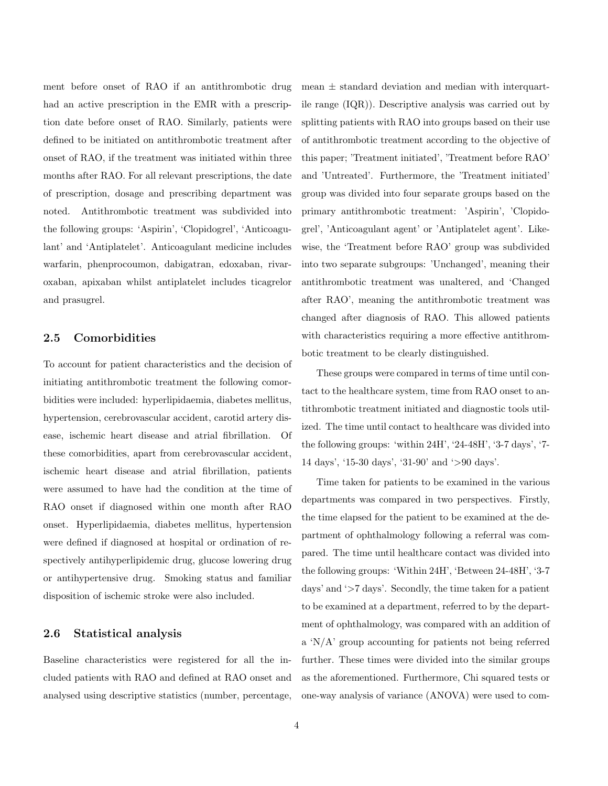ment before onset of RAO if an antithrombotic drug had an active prescription in the EMR with a prescription date before onset of RAO. Similarly, patients were defined to be initiated on antithrombotic treatment after onset of RAO, if the treatment was initiated within three months after RAO. For all relevant prescriptions, the date of prescription, dosage and prescribing department was noted. Antithrombotic treatment was subdivided into the following groups: 'Aspirin', 'Clopidogrel', 'Anticoagulant' and 'Antiplatelet'. Anticoagulant medicine includes warfarin, phenprocoumon, dabigatran, edoxaban, rivaroxaban, apixaban whilst antiplatelet includes ticagrelor and prasugrel.

### 2.5 Comorbidities

To account for patient characteristics and the decision of initiating antithrombotic treatment the following comorbidities were included: hyperlipidaemia, diabetes mellitus, hypertension, cerebrovascular accident, carotid artery disease, ischemic heart disease and atrial fibrillation. Of these comorbidities, apart from cerebrovascular accident, ischemic heart disease and atrial fibrillation, patients were assumed to have had the condition at the time of RAO onset if diagnosed within one month after RAO onset. Hyperlipidaemia, diabetes mellitus, hypertension were defined if diagnosed at hospital or ordination of respectively antihyperlipidemic drug, glucose lowering drug or antihypertensive drug. Smoking status and familiar disposition of ischemic stroke were also included.

#### 2.6 Statistical analysis

Baseline characteristics were registered for all the included patients with RAO and defined at RAO onset and analysed using descriptive statistics (number, percentage, mean  $\pm$  standard deviation and median with interquartile range (IQR)). Descriptive analysis was carried out by splitting patients with RAO into groups based on their use of antithrombotic treatment according to the objective of this paper; 'Treatment initiated', 'Treatment before RAO' and 'Untreated'. Furthermore, the 'Treatment initiated' group was divided into four separate groups based on the primary antithrombotic treatment: 'Aspirin', 'Clopidogrel', 'Anticoagulant agent' or 'Antiplatelet agent'. Likewise, the 'Treatment before RAO' group was subdivided into two separate subgroups: 'Unchanged', meaning their antithrombotic treatment was unaltered, and 'Changed after RAO', meaning the antithrombotic treatment was changed after diagnosis of RAO. This allowed patients with characteristics requiring a more effective antithrombotic treatment to be clearly distinguished.

These groups were compared in terms of time until contact to the healthcare system, time from RAO onset to antithrombotic treatment initiated and diagnostic tools utilized. The time until contact to healthcare was divided into the following groups: 'within 24H', '24-48H', '3-7 days', '7- 14 days', '15-30 days', '31-90' and '>90 days'.

Time taken for patients to be examined in the various departments was compared in two perspectives. Firstly, the time elapsed for the patient to be examined at the department of ophthalmology following a referral was compared. The time until healthcare contact was divided into the following groups: 'Within 24H', 'Between 24-48H', '3-7 days' and '>7 days'. Secondly, the time taken for a patient to be examined at a department, referred to by the department of ophthalmology, was compared with an addition of a 'N/A' group accounting for patients not being referred further. These times were divided into the similar groups as the aforementioned. Furthermore, Chi squared tests or one-way analysis of variance (ANOVA) were used to com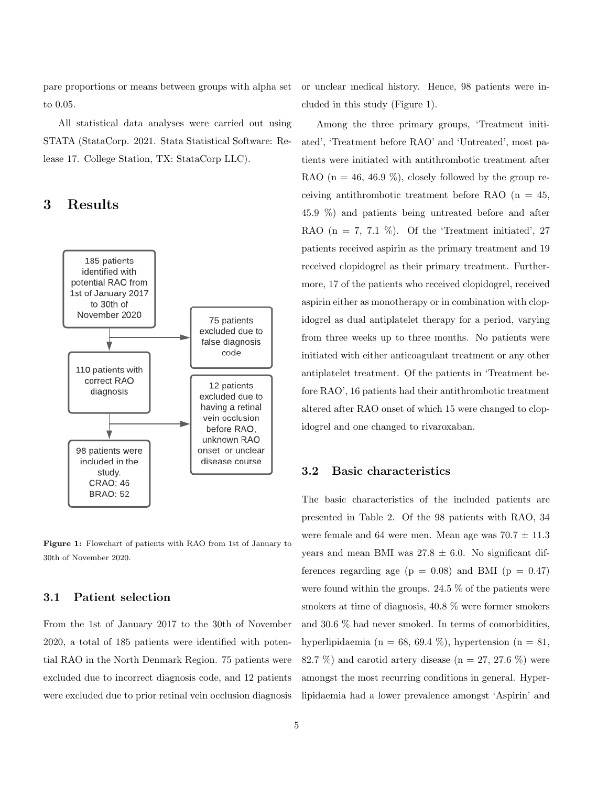pare proportions or means between groups with alpha set to 0.05.

All statistical data analyses were carried out using STATA (StataCorp. 2021. Stata Statistical Software: Release 17. College Station, TX: StataCorp LLC).

## 3 Results



Figure 1: Flowchart of patients with RAO from 1st of January to 30th of November 2020.

#### 3.1 Patient selection

From the 1st of January 2017 to the 30th of November 2020, a total of 185 patients were identified with potential RAO in the North Denmark Region. 75 patients were excluded due to incorrect diagnosis code, and 12 patients were excluded due to prior retinal vein occlusion diagnosis or unclear medical history. Hence, 98 patients were included in this study (Figure 1).

Among the three primary groups, 'Treatment initiated', 'Treatment before RAO' and 'Untreated', most patients were initiated with antithrombotic treatment after RAO ( $n = 46, 46.9\%$ ), closely followed by the group receiving antithrombotic treatment before RAO  $(n = 45,$ 45.9 %) and patients being untreated before and after RAO  $(n = 7, 7.1 \%)$ . Of the 'Treatment initiated', 27 patients received aspirin as the primary treatment and 19 received clopidogrel as their primary treatment. Furthermore, 17 of the patients who received clopidogrel, received aspirin either as monotherapy or in combination with clopidogrel as dual antiplatelet therapy for a period, varying from three weeks up to three months. No patients were initiated with either anticoagulant treatment or any other antiplatelet treatment. Of the patients in 'Treatment before RAO', 16 patients had their antithrombotic treatment altered after RAO onset of which 15 were changed to clopidogrel and one changed to rivaroxaban.

#### 3.2 Basic characteristics

The basic characteristics of the included patients are presented in Table 2. Of the 98 patients with RAO, 34 were female and 64 were men. Mean age was  $70.7 \pm 11.3$ years and mean BMI was  $27.8 \pm 6.0$ . No significant differences regarding age ( $p = 0.08$ ) and BMI ( $p = 0.47$ ) were found within the groups. 24.5  $\%$  of the patients were smokers at time of diagnosis, 40.8 % were former smokers and 30.6 % had never smoked. In terms of comorbidities, hyperlipidaemia (n = 68, 69.4 %), hypertension (n = 81, 82.7 %) and carotid artery disease ( $n = 27, 27.6$  %) were amongst the most recurring conditions in general. Hyperlipidaemia had a lower prevalence amongst 'Aspirin' and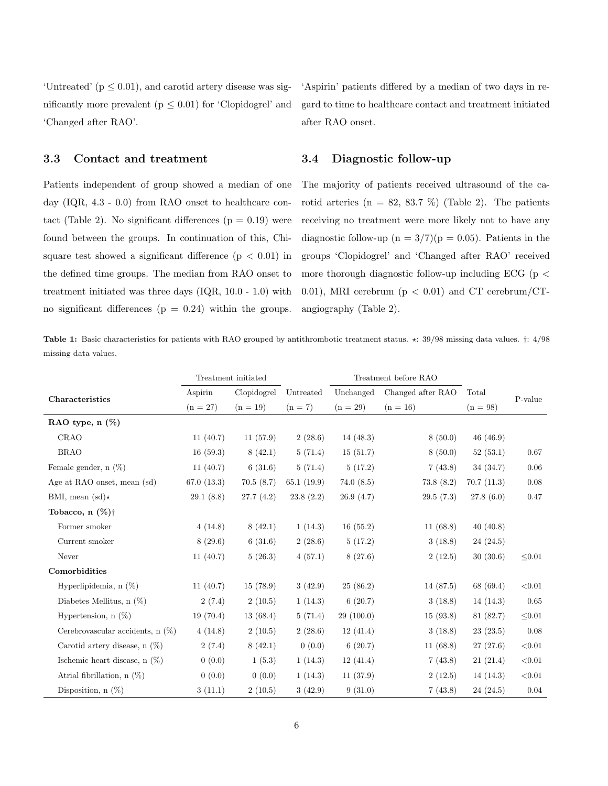'Untreated' ( $p \leq 0.01$ ), and carotid artery disease was significantly more prevalent ( $p \leq 0.01$ ) for 'Clopidogrel' and 'Changed after RAO'.

### 3.3 Contact and treatment

Patients independent of group showed a median of one day (IQR, 4.3 - 0.0) from RAO onset to healthcare contact (Table 2). No significant differences  $(p = 0.19)$  were found between the groups. In continuation of this, Chisquare test showed a significant difference  $(p < 0.01)$  in the defined time groups. The median from RAO onset to treatment initiated was three days (IQR, 10.0 - 1.0) with no significant differences  $(p = 0.24)$  within the groups. 'Aspirin' patients differed by a median of two days in regard to time to healthcare contact and treatment initiated after RAO onset.

### 3.4 Diagnostic follow-up

The majority of patients received ultrasound of the carotid arteries ( $n = 82, 83.7 %$ ) (Table 2). The patients receiving no treatment were more likely not to have any diagnostic follow-up ( $n = 3/7$ )( $p = 0.05$ ). Patients in the groups 'Clopidogrel' and 'Changed after RAO' received more thorough diagnostic follow-up including ECG ( $p <$ 0.01), MRI cerebrum ( $p < 0.01$ ) and CT cerebrum/CTangiography (Table 2).

Table 1: Basic characteristics for patients with RAO grouped by antithrombotic treatment status.  $\star$ : 39/98 missing data values.  $\dagger$ : 4/98 missing data values.

|                                    | Treatment initiated |             |            | Treatment before RAO |                   |            |         |  |
|------------------------------------|---------------------|-------------|------------|----------------------|-------------------|------------|---------|--|
| Characteristics                    | Aspirin             | Clopidogrel | Untreated  | Unchanged            | Changed after RAO | Total      | P-value |  |
|                                    | $(n = 27)$          | $(n = 19)$  | $(n = 7)$  | $(n = 29)$           | $(n = 16)$        | $(n = 98)$ |         |  |
| RAO type, n (%)                    |                     |             |            |                      |                   |            |         |  |
| CRAO                               | 11(40.7)            | 11(57.9)    | 2(28.6)    | 14(48.3)             | 8(50.0)           | 46(46.9)   |         |  |
| <b>BRAO</b>                        | 16(59.3)            | 8(42.1)     | 5(71.4)    | 15(51.7)             | 8(50.0)           | 52(53.1)   | 0.67    |  |
| Female gender, $n(\%)$             | 11(40.7)            | 6(31.6)     | 5(71.4)    | 5(17.2)              | 7(43.8)           | 34(34.7)   | 0.06    |  |
| Age at RAO onset, mean (sd)        | 67.0(13.3)          | 70.5(8.7)   | 65.1(19.9) | 74.0(8.5)            | 73.8(8.2)         | 70.7(11.3) | 0.08    |  |
| BMI, mean (sd) $\star$             | 29.1(8.8)           | 27.7(4.2)   | 23.8(2.2)  | 26.9(4.7)            | 29.5(7.3)         | 27.8(6.0)  | 0.47    |  |
| Tobacco, $n$ $(\%)\dagger$         |                     |             |            |                      |                   |            |         |  |
| Former smoker                      | 4(14.8)             | 8(42.1)     | 1(14.3)    | 16(55.2)             | 11(68.8)          | 40(40.8)   |         |  |
| Current smoker                     | 8(29.6)             | 6(31.6)     | 2(28.6)    | 5(17.2)              | 3(18.8)           | 24(24.5)   |         |  |
| Never                              | 11(40.7)            | 5(26.3)     | 4(57.1)    | 8(27.6)              | 2(12.5)           | 30(30.6)   | < 0.01  |  |
| Comorbidities                      |                     |             |            |                      |                   |            |         |  |
| Hyperlipidemia, n $(\%)$           | 11(40.7)            | 15(78.9)    | 3(42.9)    | 25(86.2)             | 14 (87.5)         | 68 (69.4)  | < 0.01  |  |
| Diabetes Mellitus, n $(\%)$        | 2(7.4)              | 2(10.5)     | 1(14.3)    | 6(20.7)              | 3(18.8)           | 14(14.3)   | 0.65    |  |
| Hypertension, $n(\%)$              | 19(70.4)            | 13(68.4)    | 5(71.4)    | 29(100.0)            | 15(93.8)          | 81(82.7)   | < 0.01  |  |
| Cerebrovascular accidents, $n(\%)$ | 4(14.8)             | 2(10.5)     | 2(28.6)    | 12(41.4)             | 3(18.8)           | 23(23.5)   | 0.08    |  |
| Carotid artery disease, $n(\%)$    | 2(7.4)              | 8(42.1)     | 0(0.0)     | 6(20.7)              | 11(68.8)          | 27(27.6)   | < 0.01  |  |
| Ischemic heart disease, $n(\%)$    | 0(0.0)              | 1(5.3)      | 1(14.3)    | 12(41.4)             | 7(43.8)           | 21(21.4)   | < 0.01  |  |
| Atrial fibrillation, $n(\%)$       | 0(0.0)              | 0(0.0)      | 1(14.3)    | 11(37.9)             | 2(12.5)           | 14(14.3)   | < 0.01  |  |
| Disposition, $n(\%)$               | 3(11.1)             | 2(10.5)     | 3(42.9)    | 9(31.0)              | 7(43.8)           | 24(24.5)   | 0.04    |  |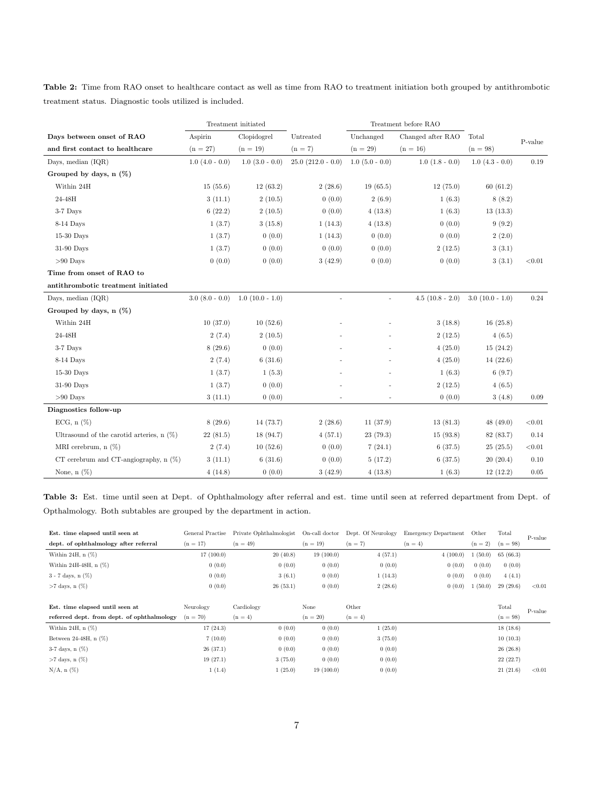Table 2: Time from RAO onset to healthcare contact as well as time from RAO to treatment initiation both grouped by antithrombotic treatment status. Diagnostic tools utilized is included.

|                                             | Treatment initiated |                     |                        |                     | Treatment before RAO |                     |             |
|---------------------------------------------|---------------------|---------------------|------------------------|---------------------|----------------------|---------------------|-------------|
| Days between onset of RAO                   | Aspirin             | Clopidogrel         | Untreated              | Unchanged           | Changed after RAO    | Total               | P-value     |
| and first contact to healthcare             | $(n = 27)$          | $(n = 19)$          | $(n=7)$                | $(n = 29)$          | $(n = 16)$           | $(n = 98)$          |             |
| Days, median $(IQR)$                        | $1.0$ $(4.0 - 0.0)$ | $1.0$ $(3.0 - 0.0)$ | $25.0$ $(212.0 - 0.0)$ | $1.0$ $(5.0 - 0.0)$ | $1.0$ $(1.8 - 0.0)$  | $1.0$ $(4.3 - 0.0)$ | 0.19        |
| Grouped by days, $n(\%)$                    |                     |                     |                        |                     |                      |                     |             |
| Within 24H                                  | 15(55.6)            | 12(63.2)            | 2(28.6)                | 19(65.5)            | 12(75.0)             | 60(61.2)            |             |
| 24-48H                                      | 3(11.1)             | 2(10.5)             | 0(0.0)                 | 2(6.9)              | 1(6.3)               | 8(8.2)              |             |
| 3-7 Days                                    | 6(22.2)             | 2(10.5)             | 0(0.0)                 | 4(13.8)             | 1(6.3)               | 13(13.3)            |             |
| 8-14 Days                                   | 1(3.7)              | 3(15.8)             | 1(14.3)                | 4(13.8)             | 0(0.0)               | 9(9.2)              |             |
| $15-30$ Days                                | 1(3.7)              | 0(0.0)              | 1(14.3)                | 0(0.0)              | 0(0.0)               | 2(2.0)              |             |
| 31-90 Days                                  | 1(3.7)              | 0(0.0)              | 0(0.0)                 | 0(0.0)              | 2(12.5)              | 3(3.1)              |             |
| $>90$ Days                                  | 0(0.0)              | 0(0.0)              | 3(42.9)                | 0(0.0)              | 0(0.0)               | 3(3.1)              | $<\!\!0.01$ |
| Time from onset of RAO to                   |                     |                     |                        |                     |                      |                     |             |
| antithrombotic treatment initiated          |                     |                     |                        |                     |                      |                     |             |
| Days, median $(IQR)$                        | $3.0(8.0 - 0.0)$    | $1.0(10.0 - 1.0)$   |                        |                     | $4.5(10.8 - 2.0)$    | $3.0(10.0 - 1.0)$   | 0.24        |
| Grouped by days, $n(\%)$                    |                     |                     |                        |                     |                      |                     |             |
| Within 24H                                  | 10(37.0)            | 10(52.6)            |                        |                     | 3(18.8)              | 16(25.8)            |             |
| 24-48H                                      | 2(7.4)              | 2(10.5)             |                        |                     | 2(12.5)              | 4(6.5)              |             |
| 3-7 Days                                    | 8(29.6)             | 0(0.0)              |                        |                     | 4(25.0)              | 15(24.2)            |             |
| 8-14 Days                                   | 2(7.4)              | 6(31.6)             |                        |                     | 4(25.0)              | 14(22.6)            |             |
| $15-30$ Days                                | 1(3.7)              | 1(5.3)              |                        |                     | 1(6.3)               | 6(9.7)              |             |
| 31-90 Days                                  | 1(3.7)              | 0(0.0)              |                        |                     | 2(12.5)              | 4(6.5)              |             |
| $>90$ Days                                  | 3(11.1)             | 0(0.0)              |                        |                     | 0(0.0)               | 3(4.8)              | 0.09        |
| Diagnostics follow-up                       |                     |                     |                        |                     |                      |                     |             |
| ECG, $n$ $(\%)$                             | 8(29.6)             | 14(73.7)            | 2(28.6)                | 11(37.9)            | 13(81.3)             | 48 (49.0)           | $<\!\!0.01$ |
| Ultrasound of the carotid arteries, $n(\%)$ | 22(81.5)            | 18(94.7)            | 4(57.1)                | 23 (79.3)           | 15(93.8)             | 82 (83.7)           | 0.14        |
| MRI cerebrum, $n(\%)$                       | 2(7.4)              | 10(52.6)            | 0(0.0)                 | 7(24.1)             | 6(37.5)              | 25(25.5)            | < 0.01      |
| CT cerebrum and CT-angiography, $n$ $(\%)$  | 3(11.1)             | 6(31.6)             | 0(0.0)                 | 5(17.2)             | 6(37.5)              | 20(20.4)            | 0.10        |
| None, $n(\%)$                               | 4(14.8)             | 0(0.0)              | 3(42.9)                | 4(13.8)             | 1(6.3)               | 12(12.2)            | 0.05        |

Table 3: Est. time until seen at Dept. of Ophthalmology after referral and est. time until seen at referred department from Dept. of Opthalmology. Both subtables are grouped by the department in action.

| Est. time elapsed until seen at            | General Practise | Private Ophthalmologist | On-call doctor | Dept. Of Neurology | <b>Emergency Department</b> | Other   | Total      | P-value |
|--------------------------------------------|------------------|-------------------------|----------------|--------------------|-----------------------------|---------|------------|---------|
| dept. of ophthalmology after referral      | $(n = 17)$       | $(n = 49)$              | $(n = 19)$     | $(n = 7)$          | $(n=4)$                     | $(n=2)$ | $(n = 98)$ |         |
| Within 24H, $n$ $(\%)$                     | 17(100.0)        | 20(40.8)                | 19(100.0)      | 4(57.1)            | 4(100.0)                    | 1(50.0) | 65(66.3)   |         |
| Within 24H-48H, $n$ $(\%)$                 | 0(0.0)           | 0(0.0)                  | 0(0.0)         | 0(0.0)             | 0(0.0)                      | 0(0.0)  | 0(0.0)     |         |
| $3 - 7$ days, $n$ $(\%)$                   | 0(0.0)           | 3(6.1)                  | 0(0.0)         | 1(14.3)            | 0(0.0)                      | 0(0.0)  | 4(4.1)     |         |
| $>7$ days, n $(\%)$                        | 0(0.0)           | 26(53.1)                | 0(0.0)         | 2(28.6)            | 0(0.0)                      | 1(50.0) | 29(29.6)   | < 0.01  |
|                                            |                  |                         |                |                    |                             |         |            |         |
|                                            |                  |                         |                |                    |                             |         |            |         |
| Est. time elapsed until seen at            | Neurology        | Cardiology              | None           | Other              |                             |         | Total      |         |
| referred dept. from dept. of ophthalmology | $(n = 70)$       | $(n=4)$                 | $(n = 20)$     | $(n=4)$            |                             |         | $(n = 98)$ | P-value |
| Within 24H, $n$ $(\%)$                     | 17(24.3)         | 0(0.0)                  | 0(0.0)         | 1(25.0)            |                             |         | 18(18.6)   |         |
| Between 24-48H, $n$ $(\%)$                 | 7(10.0)          | 0(0.0)                  | 0(0.0)         | 3(75.0)            |                             |         | 10(10.3)   |         |
| 3-7 days, $n$ $(\%)$                       | 26(37.1)         | 0(0.0)                  | 0(0.0)         | 0(0.0)             |                             |         | 26(26.8)   |         |
| $>7$ days, n $(\%)$                        | 19(27.1)         | 3(75.0)                 | 0(0.0)         | 0(0.0)             |                             |         | 22(22.7)   |         |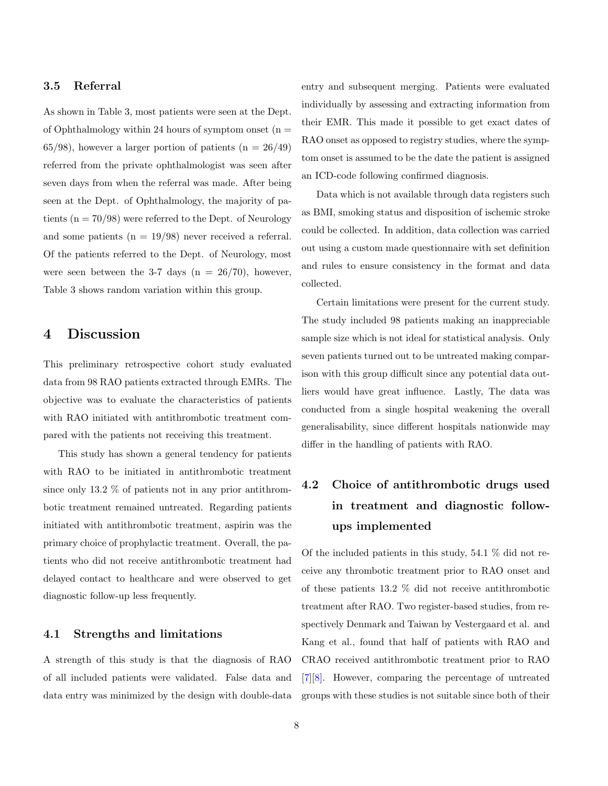#### 3.5 Referral

As shown in Table 3, most patients were seen at the Dept. of Ophthalmology within 24 hours of symptom onset  $(n =$ 65/98), however a larger portion of patients  $(n = 26/49)$ referred from the private ophthalmologist was seen after seven days from when the referral was made. After being seen at the Dept. of Ophthalmology, the majority of patients ( $n = 70/98$ ) were referred to the Dept. of Neurology and some patients  $(n = 19/98)$  never received a referral. Of the patients referred to the Dept. of Neurology, most were seen between the 3-7 days ( $n = 26/70$ ), however, Table 3 shows random variation within this group.

# 4 Discussion

This preliminary retrospective cohort study evaluated data from 98 RAO patients extracted through EMRs. The objective was to evaluate the characteristics of patients with RAO initiated with antithrombotic treatment compared with the patients not receiving this treatment.

This study has shown a general tendency for patients with RAO to be initiated in antithrombotic treatment since only 13.2 % of patients not in any prior antithrombotic treatment remained untreated. Regarding patients initiated with antithrombotic treatment, aspirin was the primary choice of prophylactic treatment. Overall, the patients who did not receive antithrombotic treatment had delayed contact to healthcare and were observed to get diagnostic follow-up less frequently.

#### 4.1 Strengths and limitations

A strength of this study is that the diagnosis of RAO of all included patients were validated. False data and data entry was minimized by the design with double-data entry and subsequent merging. Patients were evaluated individually by assessing and extracting information from their EMR. This made it possible to get exact dates of RAO onset as opposed to registry studies, where the symptom onset is assumed to be the date the patient is assigned an ICD-code following confirmed diagnosis.

Data which is not available through data registers such as BMI, smoking status and disposition of ischemic stroke could be collected. In addition, data collection was carried out using a custom made questionnaire with set definition and rules to ensure consistency in the format and data collected.

Certain limitations were present for the current study. The study included 98 patients making an inappreciable sample size which is not ideal for statistical analysis. Only seven patients turned out to be untreated making comparison with this group difficult since any potential data outliers would have great influence. Lastly, The data was conducted from a single hospital weakening the overall generalisability, since different hospitals nationwide may differ in the handling of patients with RAO.

# 4.2 Choice of antithrombotic drugs used in treatment and diagnostic followups implemented

Of the included patients in this study, 54.1 % did not receive any thrombotic treatment prior to RAO onset and of these patients 13.2 % did not receive antithrombotic treatment after RAO. Two register-based studies, from respectively Denmark and Taiwan by Vestergaard et al. and Kang et al., found that half of patients with RAO and CRAO received antithrombotic treatment prior to RAO [\[7\]](#page-11-6)[\[8\]](#page-11-7). However, comparing the percentage of untreated groups with these studies is not suitable since both of their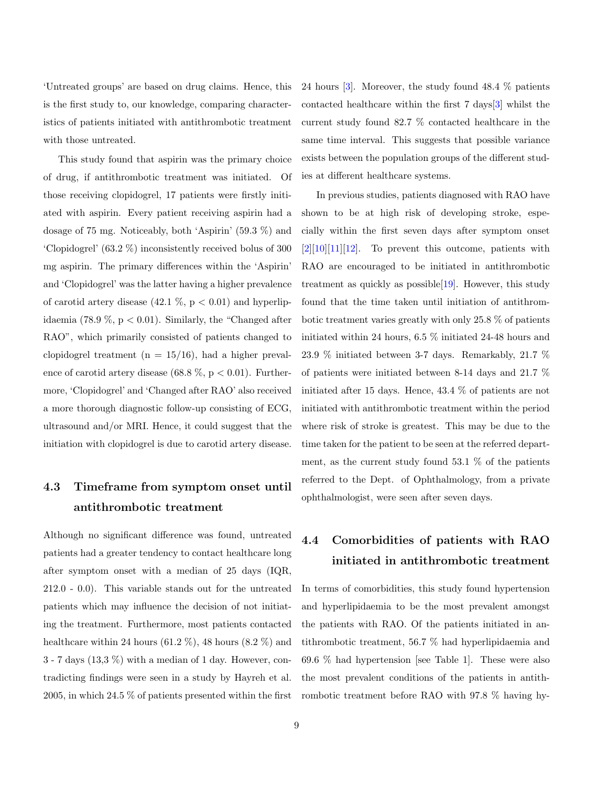'Untreated groups' are based on drug claims. Hence, this is the first study to, our knowledge, comparing characteristics of patients initiated with antithrombotic treatment with those untreated.

This study found that aspirin was the primary choice of drug, if antithrombotic treatment was initiated. Of those receiving clopidogrel, 17 patients were firstly initiated with aspirin. Every patient receiving aspirin had a dosage of 75 mg. Noticeably, both 'Aspirin' (59.3 %) and 'Clopidogrel' (63.2 %) inconsistently received bolus of 300 mg aspirin. The primary differences within the 'Aspirin' and 'Clopidogrel' was the latter having a higher prevalence of carotid artery disease  $(42.1 \%, p < 0.01)$  and hyperlipidaemia (78.9 %,  $p < 0.01$ ). Similarly, the "Changed after RAO", which primarily consisted of patients changed to clopidogrel treatment ( $n = 15/16$ ), had a higher prevalence of carotid artery disease (68.8 %,  $p < 0.01$ ). Furthermore, 'Clopidogrel' and 'Changed after RAO' also received a more thorough diagnostic follow-up consisting of ECG, ultrasound and/or MRI. Hence, it could suggest that the initiation with clopidogrel is due to carotid artery disease.

# 4.3 Timeframe from symptom onset until antithrombotic treatment

Although no significant difference was found, untreated patients had a greater tendency to contact healthcare long after symptom onset with a median of 25 days (IQR, 212.0 - 0.0). This variable stands out for the untreated patients which may influence the decision of not initiating the treatment. Furthermore, most patients contacted healthcare within 24 hours (61.2  $\%$ ), 48 hours (8.2  $\%$ ) and 3 - 7 days (13,3 %) with a median of 1 day. However, contradicting findings were seen in a study by Hayreh et al. 2005, in which 24.5 % of patients presented within the first 24 hours [\[3\]](#page-11-2). Moreover, the study found 48.4 % patients contacted healthcare within the first 7 days[\[3\]](#page-11-2) whilst the current study found 82.7 % contacted healthcare in the same time interval. This suggests that possible variance exists between the population groups of the different studies at different healthcare systems.

In previous studies, patients diagnosed with RAO have shown to be at high risk of developing stroke, especially within the first seven days after symptom onset  $[2][10][11][12]$  $[2][10][11][12]$  $[2][10][11][12]$  $[2][10][11][12]$ . To prevent this outcome, patients with RAO are encouraged to be initiated in antithrombotic treatment as quickly as possible[\[19\]](#page-12-4). However, this study found that the time taken until initiation of antithrombotic treatment varies greatly with only 25.8 % of patients initiated within 24 hours, 6.5 % initiated 24-48 hours and 23.9 % initiated between 3-7 days. Remarkably, 21.7 % of patients were initiated between 8-14 days and 21.7 % initiated after 15 days. Hence, 43.4 % of patients are not initiated with antithrombotic treatment within the period where risk of stroke is greatest. This may be due to the time taken for the patient to be seen at the referred department, as the current study found  $53.1\%$  of the patients referred to the Dept. of Ophthalmology, from a private ophthalmologist, were seen after seven days.

# 4.4 Comorbidities of patients with RAO initiated in antithrombotic treatment

In terms of comorbidities, this study found hypertension and hyperlipidaemia to be the most prevalent amongst the patients with RAO. Of the patients initiated in antithrombotic treatment, 56.7 % had hyperlipidaemia and 69.6 % had hypertension [see Table 1]. These were also the most prevalent conditions of the patients in antithrombotic treatment before RAO with 97.8 % having hy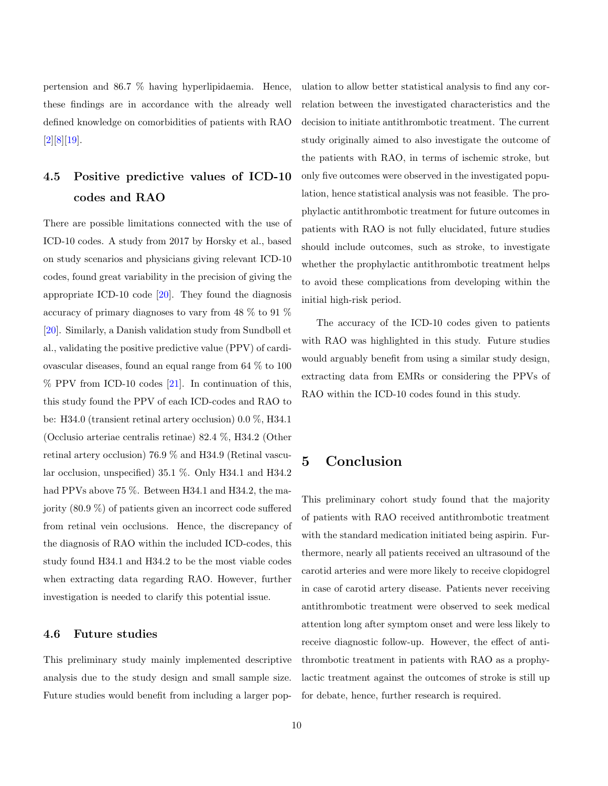pertension and 86.7 % having hyperlipidaemia. Hence, these findings are in accordance with the already well defined knowledge on comorbidities of patients with RAO [\[2\]](#page-11-1)[\[8\]](#page-11-7)[\[19\]](#page-12-4).

# 4.5 Positive predictive values of ICD-10 codes and RAO

There are possible limitations connected with the use of ICD-10 codes. A study from 2017 by Horsky et al., based on study scenarios and physicians giving relevant ICD-10 codes, found great variability in the precision of giving the appropriate ICD-10 code [\[20\]](#page-12-5). They found the diagnosis accuracy of primary diagnoses to vary from 48 % to 91 % [\[20\]](#page-12-5). Similarly, a Danish validation study from Sundbøll et al., validating the positive predictive value (PPV) of cardiovascular diseases, found an equal range from 64 % to 100  $\%$  PPV from ICD-10 codes [\[21\]](#page-12-6). In continuation of this, this study found the PPV of each ICD-codes and RAO to be: H34.0 (transient retinal artery occlusion) 0.0 %, H34.1 (Occlusio arteriae centralis retinae) 82.4 %, H34.2 (Other retinal artery occlusion) 76.9 % and H34.9 (Retinal vascular occlusion, unspecified) 35.1 %. Only H34.1 and H34.2 had PPVs above 75 %. Between H34.1 and H34.2, the majority (80.9 %) of patients given an incorrect code suffered from retinal vein occlusions. Hence, the discrepancy of the diagnosis of RAO within the included ICD-codes, this study found H34.1 and H34.2 to be the most viable codes when extracting data regarding RAO. However, further investigation is needed to clarify this potential issue.

#### 4.6 Future studies

This preliminary study mainly implemented descriptive analysis due to the study design and small sample size. Future studies would benefit from including a larger population to allow better statistical analysis to find any correlation between the investigated characteristics and the decision to initiate antithrombotic treatment. The current study originally aimed to also investigate the outcome of the patients with RAO, in terms of ischemic stroke, but only five outcomes were observed in the investigated population, hence statistical analysis was not feasible. The prophylactic antithrombotic treatment for future outcomes in patients with RAO is not fully elucidated, future studies should include outcomes, such as stroke, to investigate whether the prophylactic antithrombotic treatment helps to avoid these complications from developing within the initial high-risk period.

The accuracy of the ICD-10 codes given to patients with RAO was highlighted in this study. Future studies would arguably benefit from using a similar study design, extracting data from EMRs or considering the PPVs of RAO within the ICD-10 codes found in this study.

# 5 Conclusion

This preliminary cohort study found that the majority of patients with RAO received antithrombotic treatment with the standard medication initiated being aspirin. Furthermore, nearly all patients received an ultrasound of the carotid arteries and were more likely to receive clopidogrel in case of carotid artery disease. Patients never receiving antithrombotic treatment were observed to seek medical attention long after symptom onset and were less likely to receive diagnostic follow-up. However, the effect of antithrombotic treatment in patients with RAO as a prophylactic treatment against the outcomes of stroke is still up for debate, hence, further research is required.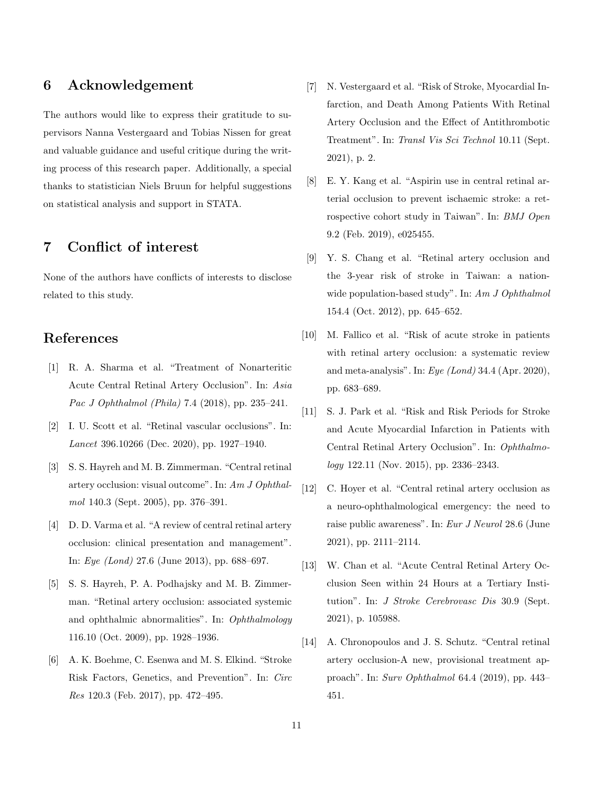## 6 Acknowledgement

The authors would like to express their gratitude to supervisors Nanna Vestergaard and Tobias Nissen for great and valuable guidance and useful critique during the writing process of this research paper. Additionally, a special thanks to statistician Niels Bruun for helpful suggestions on statistical analysis and support in STATA.

# 7 Conflict of interest

None of the authors have conflicts of interests to disclose related to this study.

## References

- <span id="page-11-0"></span>[1] R. A. Sharma et al. "Treatment of Nonarteritic Acute Central Retinal Artery Occlusion". In: Asia Pac J Ophthalmol (Phila) 7.4 (2018), pp. 235–241.
- <span id="page-11-1"></span>[2] I. U. Scott et al. "Retinal vascular occlusions". In: Lancet 396.10266 (Dec. 2020), pp. 1927–1940.
- <span id="page-11-2"></span>[3] S. S. Hayreh and M. B. Zimmerman. "Central retinal artery occlusion: visual outcome". In: Am J Ophthalmol 140.3 (Sept. 2005), pp. 376–391.
- <span id="page-11-3"></span>[4] D. D. Varma et al. "A review of central retinal artery occlusion: clinical presentation and management". In: Eye (Lond) 27.6 (June 2013), pp. 688–697.
- <span id="page-11-4"></span>[5] S. S. Hayreh, P. A. Podhajsky and M. B. Zimmerman. "Retinal artery occlusion: associated systemic and ophthalmic abnormalities". In: Ophthalmology 116.10 (Oct. 2009), pp. 1928–1936.
- <span id="page-11-5"></span>[6] A. K. Boehme, C. Esenwa and M. S. Elkind. "Stroke Risk Factors, Genetics, and Prevention". In: Circ Res 120.3 (Feb. 2017), pp. 472–495.
- <span id="page-11-6"></span>[7] N. Vestergaard et al. "Risk of Stroke, Myocardial Infarction, and Death Among Patients With Retinal Artery Occlusion and the Effect of Antithrombotic Treatment". In: Transl Vis Sci Technol 10.11 (Sept. 2021), p. 2.
- <span id="page-11-7"></span>[8] E. Y. Kang et al. "Aspirin use in central retinal arterial occlusion to prevent ischaemic stroke: a retrospective cohort study in Taiwan". In: BMJ Open 9.2 (Feb. 2019), e025455.
- <span id="page-11-8"></span>[9] Y. S. Chang et al. "Retinal artery occlusion and the 3-year risk of stroke in Taiwan: a nationwide population-based study". In: Am J Ophthalmol 154.4 (Oct. 2012), pp. 645–652.
- <span id="page-11-9"></span>[10] M. Fallico et al. "Risk of acute stroke in patients with retinal artery occlusion: a systematic review and meta-analysis". In:  $Eye \ (London)$  34.4 (Apr. 2020), pp. 683–689.
- <span id="page-11-10"></span>[11] S. J. Park et al. "Risk and Risk Periods for Stroke and Acute Myocardial Infarction in Patients with Central Retinal Artery Occlusion". In: Ophthalmology 122.11 (Nov. 2015), pp. 2336–2343.
- <span id="page-11-11"></span>[12] C. Hoyer et al. "Central retinal artery occlusion as a neuro-ophthalmological emergency: the need to raise public awareness". In: Eur J Neurol 28.6 (June 2021), pp. 2111–2114.
- <span id="page-11-12"></span>[13] W. Chan et al. "Acute Central Retinal Artery Occlusion Seen within 24 Hours at a Tertiary Institution". In: J Stroke Cerebrovasc Dis 30.9 (Sept. 2021), p. 105988.
- <span id="page-11-13"></span>[14] A. Chronopoulos and J. S. Schutz. "Central retinal artery occlusion-A new, provisional treatment approach". In: Surv Ophthalmol 64.4 (2019), pp. 443– 451.